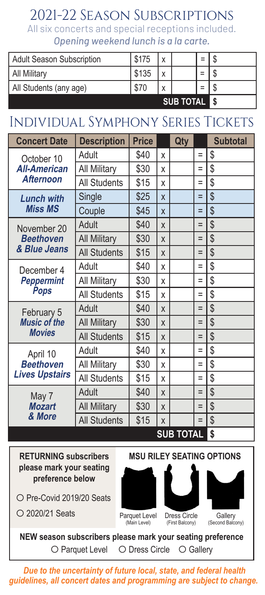### 2021-22 Season Subscriptions

All six concerts and special receptions included. *Opening weekend lunch is a la carte.*

| <b>Adult Season Subscription</b> | \$175            |  |  |  |  |
|----------------------------------|------------------|--|--|--|--|
| <b>All Military</b>              | \$135            |  |  |  |  |
| All Students (any age)           | \$70             |  |  |  |  |
|                                  | <b>SUB TOTAL</b> |  |  |  |  |

# Individual Symphony Series Tickets

| <b>Concert Date</b>                                   | <b>Description</b>  | <b>Price</b> |   | Qty |     | <b>Subtotal</b> |
|-------------------------------------------------------|---------------------|--------------|---|-----|-----|-----------------|
| October 10<br><b>All-American</b><br><b>Afternoon</b> | Adult               | \$40         | X |     | $=$ | \$              |
|                                                       | <b>All Military</b> | \$30         | X |     | $=$ | \$              |
|                                                       | <b>All Students</b> | \$15         | X |     | $=$ | \$              |
| <b>Lunch with</b>                                     | Single              | \$25         | X |     | $=$ | \$              |
| <b>Miss MS</b>                                        | Couple              | \$45         | X |     | $=$ | \$              |
| November 20                                           | Adult               | \$40         | X |     | $=$ | \$              |
| <b>Beethoven</b>                                      | <b>All Military</b> | \$30         | X |     | $=$ | \$              |
| & Blue Jeans                                          | <b>All Students</b> | \$15         | X |     | $=$ | \$              |
| December 4                                            | Adult               | \$40         | X |     | $=$ | \$              |
| <b>Peppermint</b><br><b>Pops</b>                      | <b>All Military</b> | \$30         | X |     | $=$ | \$              |
|                                                       | <b>All Students</b> | \$15         | X |     | $=$ | \$              |
| February 5<br><b>Music of the</b>                     | Adult               | \$40         | X |     | $=$ | \$              |
|                                                       | <b>All Military</b> | \$30         | X |     | $=$ | \$              |
| <b>Movies</b>                                         | <b>All Students</b> | \$15         | X |     | $=$ | \$              |
| April 10                                              | Adult               | \$40         | X |     | $=$ | \$              |
| <b>Beethoven</b><br><b>Lives Upstairs</b>             | <b>All Military</b> | \$30         | x |     | $=$ | \$              |
|                                                       | <b>All Students</b> | \$15         | X |     | $=$ | \$              |
| May 7<br><b>Mozart</b><br>& More                      | Adult               | \$40         | X |     | $=$ | \$              |
|                                                       | <b>All Military</b> | \$30         | X |     | $=$ | \$              |
|                                                       | <b>All Students</b> | \$15         | X |     | $=$ | \$              |
|                                                       | <b>SUB TOTAL</b>    |              |   |     | \$  |                 |

**RETURNING subscribers please mark your seating preference below**

O Pre-Covid 2019/20 Seats

2020/21 Seats



Parquet Level (Main Level)







**Gallery** (Second Balcony)

**NEW season subscribers please mark your seating preference** O Parquet Level O Dress Circle O Gallery

 *Due to the uncertainty of future local, state, and federal health guidelines, all concert dates and programming are subject to change.*